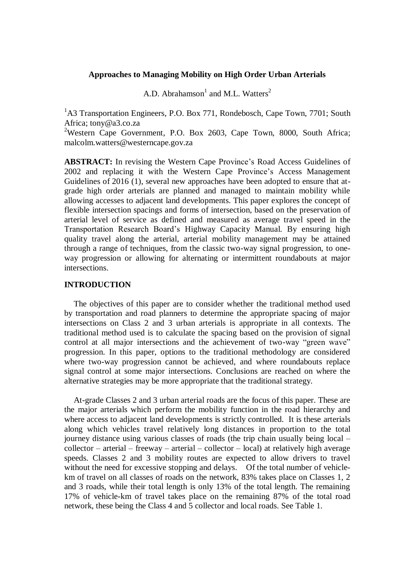## **Approaches to Managing Mobility on High Order Urban Arterials**

A.D. Abrahamson<sup>1</sup> and M.L. Watters<sup>2</sup>

 $1<sup>1</sup>A3$  Transportation Engineers, P.O. Box 771, Rondebosch, Cape Town, 7701; South Africa; tony@a3.co.za

<sup>2</sup>Western Cape Government, P.O. Box 2603, Cape Town, 8000, South Africa; malcolm.watters@westerncape.gov.za

**ABSTRACT:** In revising the Western Cape Province's Road Access Guidelines of 2002 and replacing it with the Western Cape Province's Access Management Guidelines of 2016 (1), several new approaches have been adopted to ensure that atgrade high order arterials are planned and managed to maintain mobility while allowing accesses to adjacent land developments. This paper explores the concept of flexible intersection spacings and forms of intersection, based on the preservation of arterial level of service as defined and measured as average travel speed in the Transportation Research Board's Highway Capacity Manual. By ensuring high quality travel along the arterial, arterial mobility management may be attained through a range of techniques, from the classic two-way signal progression, to oneway progression or allowing for alternating or intermittent roundabouts at major intersections.

## **INTRODUCTION**

The objectives of this paper are to consider whether the traditional method used by transportation and road planners to determine the appropriate spacing of major intersections on Class 2 and 3 urban arterials is appropriate in all contexts. The traditional method used is to calculate the spacing based on the provision of signal control at all major intersections and the achievement of two-way "green wave" progression. In this paper, options to the traditional methodology are considered where two-way progression cannot be achieved, and where roundabouts replace signal control at some major intersections. Conclusions are reached on where the alternative strategies may be more appropriate that the traditional strategy.

At-grade Classes 2 and 3 urban arterial roads are the focus of this paper. These are the major arterials which perform the mobility function in the road hierarchy and where access to adjacent land developments is strictly controlled. It is these arterials along which vehicles travel relatively long distances in proportion to the total journey distance using various classes of roads (the trip chain usually being local –  $collector - \arterial - \text{freeway} - \arterial - \text{collector} - \text{local})$  at relatively high average speeds. Classes 2 and 3 mobility routes are expected to allow drivers to travel without the need for excessive stopping and delays. Of the total number of vehiclekm of travel on all classes of roads on the network, 83% takes place on Classes 1, 2 and 3 roads, while their total length is only 13% of the total length. The remaining 17% of vehicle-km of travel takes place on the remaining 87% of the total road network, these being the Class 4 and 5 collector and local roads. See Table 1.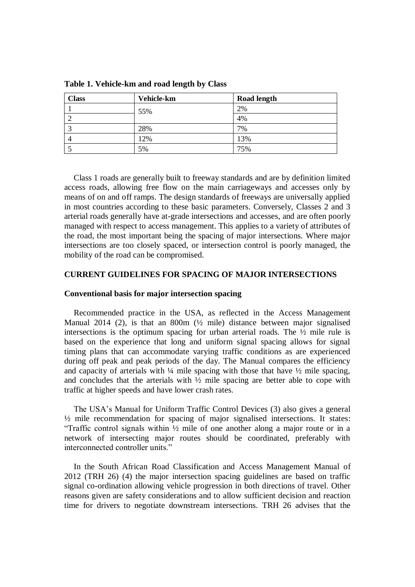| <b>Class</b> | Vehicle-km | <b>Road length</b> |
|--------------|------------|--------------------|
|              | 55%        | 2%                 |
|              |            | 4%                 |
|              | 28%        | 7%                 |
| 4            | 12%        | 13%                |
|              | 5%         | 75%                |

**Table 1. Vehicle-km and road length by Class**

Class 1 roads are generally built to freeway standards and are by definition limited access roads, allowing free flow on the main carriageways and accesses only by means of on and off ramps. The design standards of freeways are universally applied in most countries according to these basic parameters. Conversely, Classes 2 and 3 arterial roads generally have at-grade intersections and accesses, and are often poorly managed with respect to access management. This applies to a variety of attributes of the road, the most important being the spacing of major intersections. Where major intersections are too closely spaced, or intersection control is poorly managed, the mobility of the road can be compromised.

### **CURRENT GUIDELINES FOR SPACING OF MAJOR INTERSECTIONS**

#### **Conventional basis for major intersection spacing**

Recommended practice in the USA, as reflected in the Access Management Manual 2014 (2), is that an 800m (½ mile) distance between major signalised intersections is the optimum spacing for urban arterial roads. The ½ mile rule is based on the experience that long and uniform signal spacing allows for signal timing plans that can accommodate varying traffic conditions as are experienced during off peak and peak periods of the day. The Manual compares the efficiency and capacity of arterials with  $\frac{1}{4}$  mile spacing with those that have  $\frac{1}{2}$  mile spacing. and concludes that the arterials with  $\frac{1}{2}$  mile spacing are better able to cope with traffic at higher speeds and have lower crash rates.

The USA's Manual for Uniform Traffic Control Devices (3) also gives a general ½ mile recommendation for spacing of major signalised intersections. It states: "Traffic control signals within ½ mile of one another along a major route or in a network of intersecting major routes should be coordinated, preferably with interconnected controller units."

In the South African Road Classification and Access Management Manual of 2012 (TRH 26) (4) the major intersection spacing guidelines are based on traffic signal co-ordination allowing vehicle progression in both directions of travel. Other reasons given are safety considerations and to allow sufficient decision and reaction time for drivers to negotiate downstream intersections. TRH 26 advises that the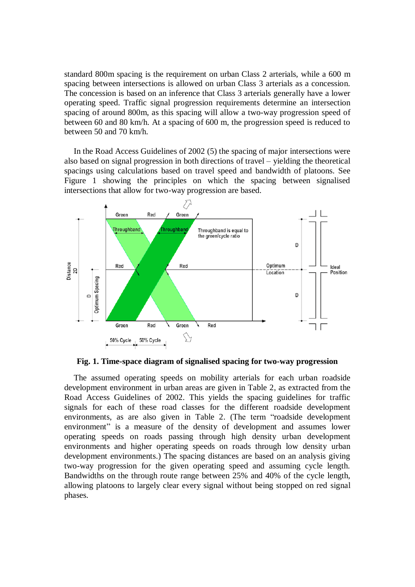standard 800m spacing is the requirement on urban Class 2 arterials, while a 600 m spacing between intersections is allowed on urban Class 3 arterials as a concession. The concession is based on an inference that Class 3 arterials generally have a lower operating speed. Traffic signal progression requirements determine an intersection spacing of around 800m, as this spacing will allow a two-way progression speed of between 60 and 80 km/h. At a spacing of 600 m, the progression speed is reduced to between 50 and 70 km/h.

In the Road Access Guidelines of 2002 (5) the spacing of major intersections were also based on signal progression in both directions of travel – yielding the theoretical spacings using calculations based on travel speed and bandwidth of platoons. See Figure 1 showing the principles on which the spacing between signalised intersections that allow for two-way progression are based.



**Fig. 1. Time-space diagram of signalised spacing for two-way progression** 

The assumed operating speeds on mobility arterials for each urban roadside development environment in urban areas are given in Table 2, as extracted from the Road Access Guidelines of 2002. This yields the spacing guidelines for traffic signals for each of these road classes for the different roadside development environments, as are also given in Table 2. (The term "roadside development environment" is a measure of the density of development and assumes lower operating speeds on roads passing through high density urban development environments and higher operating speeds on roads through low density urban development environments.) The spacing distances are based on an analysis giving two-way progression for the given operating speed and assuming cycle length. Bandwidths on the through route range between 25% and 40% of the cycle length, allowing platoons to largely clear every signal without being stopped on red signal phases.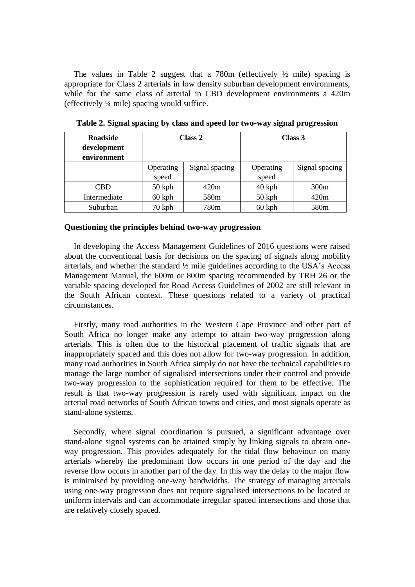The values in Table 2 suggest that a 780m (effectively  $\frac{1}{2}$  mile) spacing is appropriate for Class 2 arterials in low density suburban development environments, while for the same class of arterial in CBD development environments a 420m (effectively ¼ mile) spacing would suffice.

| <b>Roadside</b><br>development<br>environment | Class 2            |                  |                    | Class 3          |
|-----------------------------------------------|--------------------|------------------|--------------------|------------------|
|                                               | Operating<br>speed | Signal spacing   | Operating<br>speed | Signal spacing   |
| CBD                                           | $50$ kph           | 420m             | $40$ kph           | 300m             |
| Intermediate                                  | $60$ kph           | 580 <sub>m</sub> | $50$ kph           | 420m             |
| Suburban                                      | $70$ kph           | 780m             | $60$ kph           | 580 <sub>m</sub> |

**Table 2. Signal spacing by class and speed for two-way signal progression**

## **Questioning the principles behind two-way progression**

In developing the Access Management Guidelines of 2016 questions were raised about the conventional basis for decisions on the spacing of signals along mobility arterials, and whether the standard ½ mile guidelines according to the USA's Access Management Manual, the 600m or 800m spacing recommended by TRH 26 or the variable spacing developed for Road Access Guidelines of 2002 are still relevant in the South African context. These questions related to a variety of practical circumstances.

Firstly, many road authorities in the Western Cape Province and other part of South Africa no longer make any attempt to attain two-way progression along arterials. This is often due to the historical placement of traffic signals that are inappropriately spaced and this does not allow for two-way progression. In addition, many road authorities in South Africa simply do not have the technical capabilities to manage the large number of signalised intersections under their control and provide two-way progression to the sophistication required for them to be effective. The result is that two-way progression is rarely used with significant impact on the arterial road networks of South African towns and cities, and most signals operate as stand-alone systems.

Secondly, where signal coordination is pursued, a significant advantage over stand-alone signal systems can be attained simply by linking signals to obtain oneway progression. This provides adequately for the tidal flow behaviour on many arterials whereby the predominant flow occurs in one period of the day and the reverse flow occurs in another part of the day. In this way the delay to the major flow is minimised by providing one-way bandwidths. The strategy of managing arterials using one-way progression does not require signalised intersections to be located at uniform intervals and can accommodate irregular spaced intersections and those that are relatively closely spaced.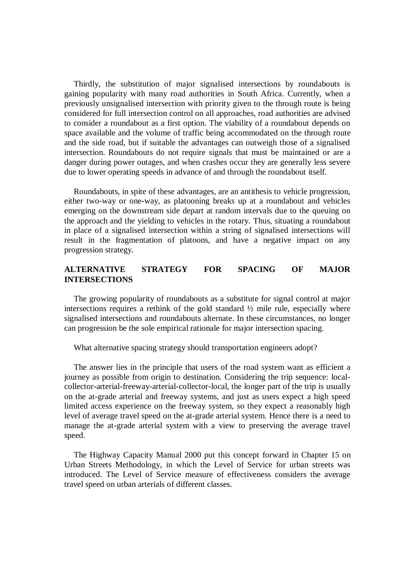Thirdly, the substitution of major signalised intersections by roundabouts is gaining popularity with many road authorities in South Africa. Currently, when a previously unsignalised intersection with priority given to the through route is being considered for full intersection control on all approaches, road authorities are advised to consider a roundabout as a first option. The viability of a roundabout depends on space available and the volume of traffic being accommodated on the through route and the side road, but if suitable the advantages can outweigh those of a signalised intersection. Roundabouts do not require signals that must be maintained or are a danger during power outages, and when crashes occur they are generally less severe due to lower operating speeds in advance of and through the roundabout itself.

Roundabouts, in spite of these advantages, are an antithesis to vehicle progression, either two-way or one-way, as platooning breaks up at a roundabout and vehicles emerging on the downstream side depart at random intervals due to the queuing on the approach and the yielding to vehicles in the rotary. Thus, situating a roundabout in place of a signalised intersection within a string of signalised intersections will result in the fragmentation of platoons, and have a negative impact on any progression strategy.

# **ALTERNATIVE STRATEGY FOR SPACING OF MAJOR INTERSECTIONS**

The growing popularity of roundabouts as a substitute for signal control at major intersections requires a rethink of the gold standard ½ mile rule, especially where signalised intersections and roundabouts alternate. In these circumstances, no longer can progression be the sole empirical rationale for major intersection spacing.

What alternative spacing strategy should transportation engineers adopt?

The answer lies in the principle that users of the road system want as efficient a journey as possible from origin to destination. Considering the trip sequence: localcollector-arterial-freeway-arterial-collector-local, the longer part of the trip is usually on the at-grade arterial and freeway systems, and just as users expect a high speed limited access experience on the freeway system, so they expect a reasonably high level of average travel speed on the at-grade arterial system. Hence there is a need to manage the at-grade arterial system with a view to preserving the average travel speed.

The Highway Capacity Manual 2000 put this concept forward in Chapter 15 on Urban Streets Methodology, in which the Level of Service for urban streets was introduced. The Level of Service measure of effectiveness considers the average travel speed on urban arterials of different classes.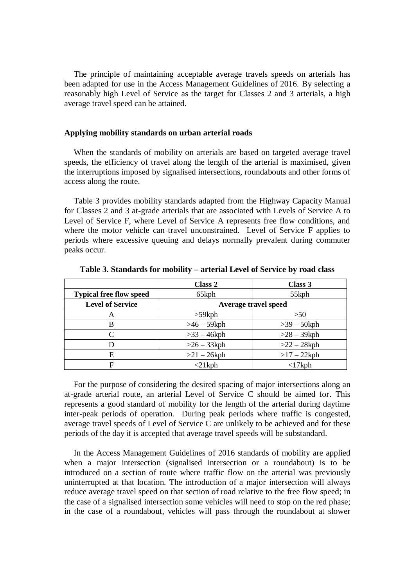The principle of maintaining acceptable average travels speeds on arterials has been adapted for use in the Access Management Guidelines of 2016. By selecting a reasonably high Level of Service as the target for Classes 2 and 3 arterials, a high average travel speed can be attained.

## **Applying mobility standards on urban arterial roads**

When the standards of mobility on arterials are based on targeted average travel speeds, the efficiency of travel along the length of the arterial is maximised, given the interruptions imposed by signalised intersections, roundabouts and other forms of access along the route.

Table 3 provides mobility standards adapted from the Highway Capacity Manual for Classes 2 and 3 at-grade arterials that are associated with Levels of Service A to Level of Service F, where Level of Service A represents free flow conditions, and where the motor vehicle can travel unconstrained. Level of Service F applies to periods where excessive queuing and delays normally prevalent during commuter peaks occur.

|                                | Class 2              | Class 3        |
|--------------------------------|----------------------|----------------|
| <b>Typical free flow speed</b> | 65kph                | 55kph          |
| <b>Level of Service</b>        | Average travel speed |                |
| А                              | $>59$ kph            | >50            |
| B                              | $>46-59$ kph         | $>39-50$ kph   |
| C                              | $>33 - 46$ kph       | $>28 - 39$ kph |
|                                | $>26 - 33$ kph       | $>22 - 28$ kph |
| Е                              | $>21 - 26$ kph       | $>17 - 22$ kph |
| F                              | $<$ 21kph            | $<$ 17 $k$ ph  |

**Table 3. Standards for mobility – arterial Level of Service by road class**

For the purpose of considering the desired spacing of major intersections along an at-grade arterial route, an arterial Level of Service C should be aimed for. This represents a good standard of mobility for the length of the arterial during daytime inter-peak periods of operation. During peak periods where traffic is congested, average travel speeds of Level of Service C are unlikely to be achieved and for these periods of the day it is accepted that average travel speeds will be substandard.

In the Access Management Guidelines of 2016 standards of mobility are applied when a major intersection (signalised intersection or a roundabout) is to be introduced on a section of route where traffic flow on the arterial was previously uninterrupted at that location. The introduction of a major intersection will always reduce average travel speed on that section of road relative to the free flow speed; in the case of a signalised intersection some vehicles will need to stop on the red phase; in the case of a roundabout, vehicles will pass through the roundabout at slower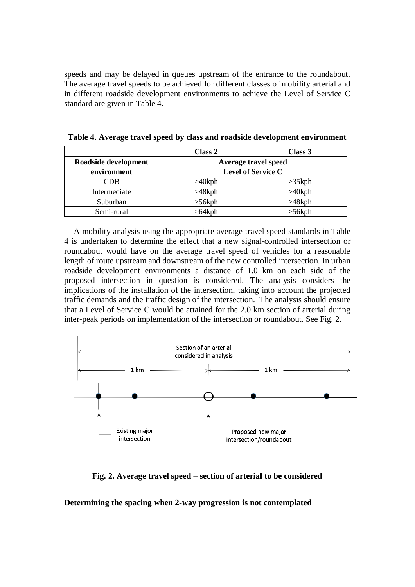speeds and may be delayed in queues upstream of the entrance to the roundabout. The average travel speeds to be achieved for different classes of mobility arterial and in different roadside development environments to achieve the Level of Service C standard are given in Table 4.

|                                 | Class 2                   | Class 3   |  |
|---------------------------------|---------------------------|-----------|--|
| Roadside development            | Average travel speed      |           |  |
| environment                     | <b>Level of Service C</b> |           |  |
| $\mathbb C\mathrm{D}\mathrm{B}$ | $>40$ kph                 | $>35$ kph |  |
| Intermediate                    | $>48$ kph                 | $>40$ kph |  |
| Suburban                        | $>56$ kph                 | $>48$ kph |  |
| Semi-rural                      | $>64$ kph                 | $>56$ kph |  |

**Table 4. Average travel speed by class and roadside development environment**

A mobility analysis using the appropriate average travel speed standards in Table 4 is undertaken to determine the effect that a new signal-controlled intersection or roundabout would have on the average travel speed of vehicles for a reasonable length of route upstream and downstream of the new controlled intersection. In urban roadside development environments a distance of 1.0 km on each side of the proposed intersection in question is considered. The analysis considers the implications of the installation of the intersection, taking into account the projected traffic demands and the traffic design of the intersection. The analysis should ensure that a Level of Service C would be attained for the 2.0 km section of arterial during inter-peak periods on implementation of the intersection or roundabout. See Fig. 2.



**Fig. 2. Average travel speed – section of arterial to be considered**

**Determining the spacing when 2-way progression is not contemplated**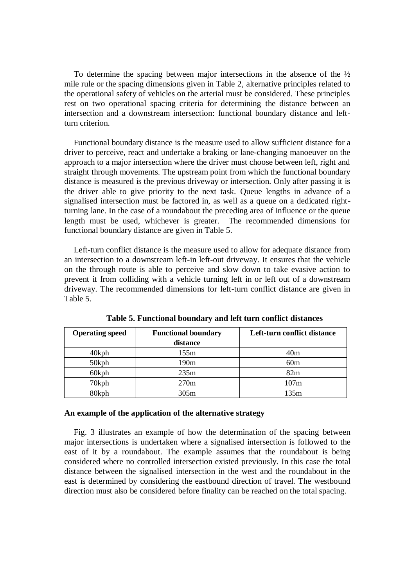To determine the spacing between major intersections in the absence of the ½ mile rule or the spacing dimensions given in Table 2, alternative principles related to the operational safety of vehicles on the arterial must be considered. These principles rest on two operational spacing criteria for determining the distance between an intersection and a downstream intersection: functional boundary distance and leftturn criterion.

Functional boundary distance is the measure used to allow sufficient distance for a driver to perceive, react and undertake a braking or lane-changing manoeuver on the approach to a major intersection where the driver must choose between left, right and straight through movements. The upstream point from which the functional boundary distance is measured is the previous driveway or intersection. Only after passing it is the driver able to give priority to the next task. Queue lengths in advance of a signalised intersection must be factored in, as well as a queue on a dedicated rightturning lane. In the case of a roundabout the preceding area of influence or the queue length must be used, whichever is greater. The recommended dimensions for functional boundary distance are given in Table 5.

Left-turn conflict distance is the measure used to allow for adequate distance from an intersection to a downstream left-in left-out driveway. It ensures that the vehicle on the through route is able to perceive and slow down to take evasive action to prevent it from colliding with a vehicle turning left in or left out of a downstream driveway. The recommended dimensions for left-turn conflict distance are given in Table 5.

| <b>Operating speed</b> | <b>Functional boundary</b><br>distance | Left-turn conflict distance |
|------------------------|----------------------------------------|-----------------------------|
|                        |                                        |                             |
| $40$ kph               | 155m                                   | 40 <sub>m</sub>             |
| 50kph                  | 190m                                   | 60m                         |
| 60kph                  | 235m                                   | 82m                         |
| 70kph                  | 270 <sub>m</sub>                       | 107m                        |
| 80kph                  | 305m                                   | 135m                        |

**Table 5. Functional boundary and left turn conflict distances**

#### **An example of the application of the alternative strategy**

Fig. 3 illustrates an example of how the determination of the spacing between major intersections is undertaken where a signalised intersection is followed to the east of it by a roundabout. The example assumes that the roundabout is being considered where no controlled intersection existed previously. In this case the total distance between the signalised intersection in the west and the roundabout in the east is determined by considering the eastbound direction of travel. The westbound direction must also be considered before finality can be reached on the total spacing.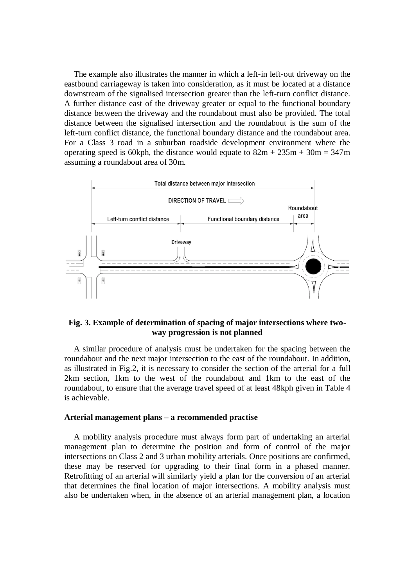The example also illustrates the manner in which a left-in left-out driveway on the eastbound carriageway is taken into consideration, as it must be located at a distance downstream of the signalised intersection greater than the left-turn conflict distance. A further distance east of the driveway greater or equal to the functional boundary distance between the driveway and the roundabout must also be provided. The total distance between the signalised intersection and the roundabout is the sum of the left-turn conflict distance, the functional boundary distance and the roundabout area. For a Class 3 road in a suburban roadside development environment where the operating speed is 60kph, the distance would equate to  $82m + 235m + 30m = 347m$ assuming a roundabout area of 30m.



## **Fig. 3. Example of determination of spacing of major intersections where twoway progression is not planned**

A similar procedure of analysis must be undertaken for the spacing between the roundabout and the next major intersection to the east of the roundabout. In addition, as illustrated in Fig.2, it is necessary to consider the section of the arterial for a full 2km section, 1km to the west of the roundabout and 1km to the east of the roundabout, to ensure that the average travel speed of at least 48kph given in Table 4 is achievable.

## **Arterial management plans – a recommended practise**

A mobility analysis procedure must always form part of undertaking an arterial management plan to determine the position and form of control of the major intersections on Class 2 and 3 urban mobility arterials. Once positions are confirmed, these may be reserved for upgrading to their final form in a phased manner. Retrofitting of an arterial will similarly yield a plan for the conversion of an arterial that determines the final location of major intersections. A mobility analysis must also be undertaken when, in the absence of an arterial management plan, a location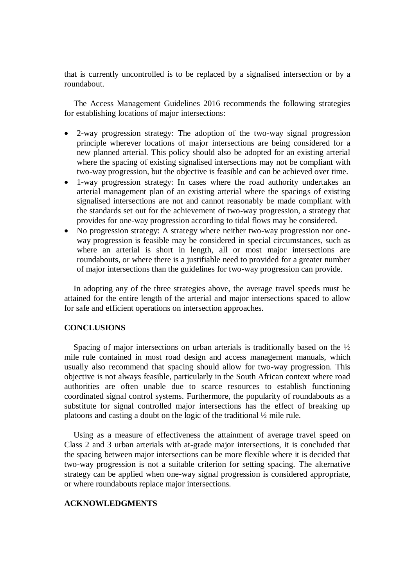that is currently uncontrolled is to be replaced by a signalised intersection or by a roundabout.

The Access Management Guidelines 2016 recommends the following strategies for establishing locations of major intersections:

- 2-way progression strategy: The adoption of the two-way signal progression principle wherever locations of major intersections are being considered for a new planned arterial. This policy should also be adopted for an existing arterial where the spacing of existing signalised intersections may not be compliant with two-way progression, but the objective is feasible and can be achieved over time.
- 1-way progression strategy: In cases where the road authority undertakes an arterial management plan of an existing arterial where the spacings of existing signalised intersections are not and cannot reasonably be made compliant with the standards set out for the achievement of two-way progression, a strategy that provides for one-way progression according to tidal flows may be considered.
- No progression strategy: A strategy where neither two-way progression nor oneway progression is feasible may be considered in special circumstances, such as where an arterial is short in length, all or most major intersections are roundabouts, or where there is a justifiable need to provided for a greater number of major intersections than the guidelines for two-way progression can provide.

In adopting any of the three strategies above, the average travel speeds must be attained for the entire length of the arterial and major intersections spaced to allow for safe and efficient operations on intersection approaches.

# **CONCLUSIONS**

Spacing of major intersections on urban arterials is traditionally based on the  $\frac{1}{2}$ mile rule contained in most road design and access management manuals, which usually also recommend that spacing should allow for two-way progression. This objective is not always feasible, particularly in the South African context where road authorities are often unable due to scarce resources to establish functioning coordinated signal control systems. Furthermore, the popularity of roundabouts as a substitute for signal controlled major intersections has the effect of breaking up platoons and casting a doubt on the logic of the traditional ½ mile rule.

Using as a measure of effectiveness the attainment of average travel speed on Class 2 and 3 urban arterials with at-grade major intersections, it is concluded that the spacing between major intersections can be more flexible where it is decided that two-way progression is not a suitable criterion for setting spacing. The alternative strategy can be applied when one-way signal progression is considered appropriate, or where roundabouts replace major intersections.

## **ACKNOWLEDGMENTS**